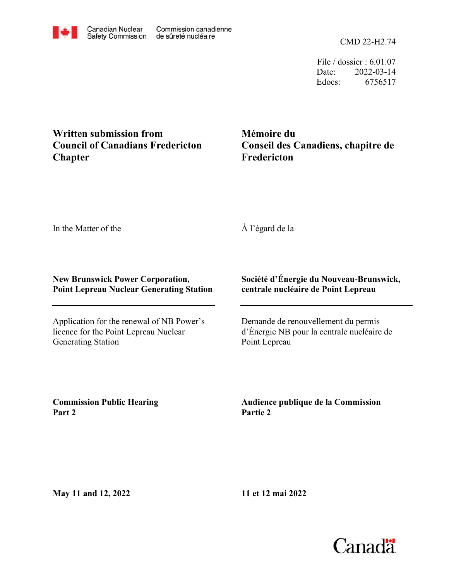CMD 22-H2.74

File / dossier : 6.01.07 Date: 2022-03-14 Edocs: 6756517

## **Written submission from Council of Canadians Fredericton Chapter**

**Mémoire du Conseil des Canadiens, chapitre de Fredericton**

In the Matter of the

## À l'égard de la

## **New Brunswick Power Corporation, Point Lepreau Nuclear Generating Station**

Application for the renewal of NB Power's licence for the Point Lepreau Nuclear Generating Station

## **Société d'Énergie du Nouveau-Brunswick, centrale nucléaire de Point Lepreau**

Demande de renouvellement du permis d'Énergie NB pour la centrale nucléaire de Point Lepreau

**Commission Public Hearing Part 2**

**Audience publique de la Commission Partie 2**

**May 11 and 12, 2022**

**11 et 12 mai 2022**

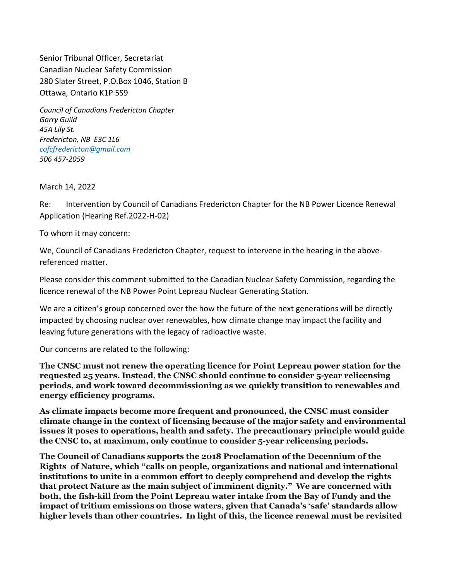Senior Tribunal Officer, Secretariat Canadian Nuclear Safety Commission 280 Slater Street, P.O.Box 1046, Station B Ottawa, Ontario K1P 5S9

Council of Canadians Fredericton Chapter Garry Guild 45A Lily St. Fredericton, NB E3C 1L6 cofcfredericton@gmail.com 506 457-2059

March 14, 2022

Re: Intervention by Council of Canadians Fredericton Chapter for the NB Power Licence Renewal Application (Hearing Ref.2022-H-02)

To whom it may concern:

We, Council of Canadians Fredericton Chapter, request to intervene in the hearing in the abovereferenced matter.

Please consider this comment submitted to the Canadian Nuclear Safety Commission, regarding the licence renewal of the NB Power Point Lepreau Nuclear Generating Station.

We are a citizen's group concerned over the how the future of the next generations will be directly impacted by choosing nuclear over renewables, how climate change may impact the facility and leaving future generations with the legacy of radioactive waste.

Our concerns are related to the following:

The CNSC must not renew the operating licence for Point Lepreau power station for the requested 25 years. Instead, the CNSC should continue to consider 5-year relicensing periods, and work toward decommissioning as we quickly transition to renewables and energy efficiency programs.

As climate impacts become more frequent and pronounced, the CNSC must consider climate change in the context of licensing because of the major safety and environmental issues it poses to operations, health and safety. The precautionary principle would guide the CNSC to, at maximum, only continue to consider 5-year relicensing periods.

The Council of Canadians supports the 2018 Proclamation of the Decennium of the Rights of Nature, which "calls on people, organizations and national and international institutions to unite in a common effort to deeply comprehend and develop the rights that protect Nature as the main subject of imminent dignity." We are concerned with both, the fish-kill from the Point Lepreau water intake from the Bay of Fundy and the impact of tritium emissions on those waters, given that Canada's 'safe' standards allow higher levels than other countries. In light of this, the licence renewal must be revisited